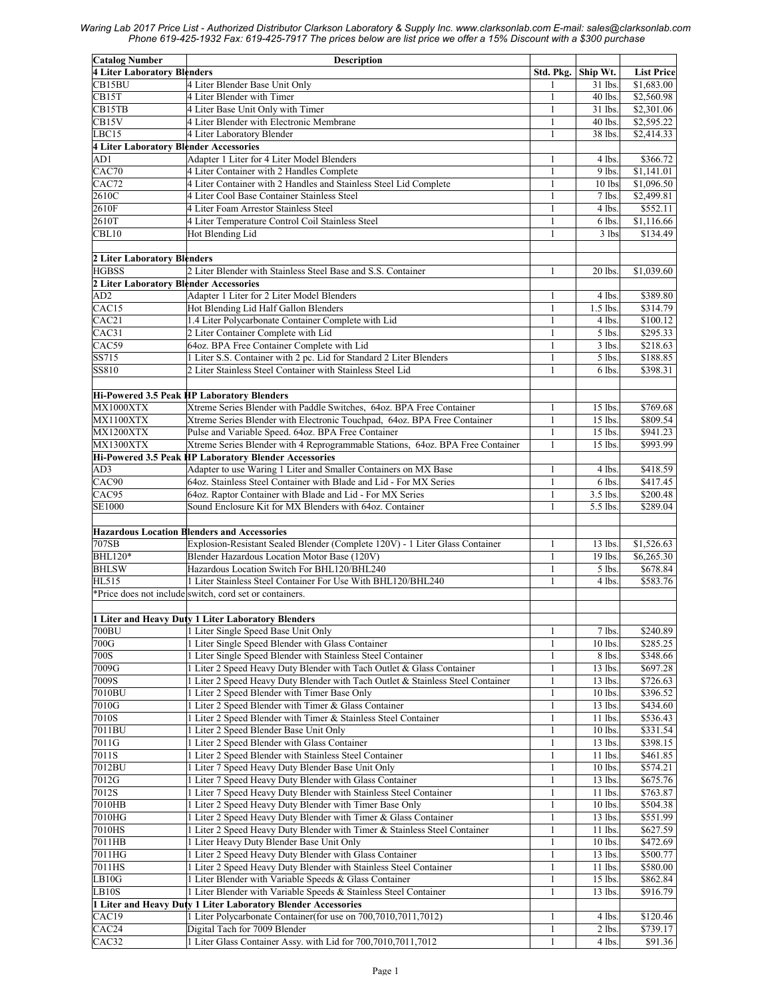*Waring Lab 2017 Price List - Authorized Distributor Clarkson Laboratory & Supply Inc. www.clarksonlab.com E-mail: sales@clarksonlab.com Phone 619-425-1932 Fax: 619-425-7917 The prices below are list price we offer a 15% Discount with a \$300 purchase*

| <b>Catalog Number</b>                  | <b>Description</b>                                                              |              |            |                   |
|----------------------------------------|---------------------------------------------------------------------------------|--------------|------------|-------------------|
| <b>4 Liter Laboratory Blenders</b>     |                                                                                 | Std. Pkg.    | Ship Wt.   | <b>List Price</b> |
| CB15BU                                 | 4 Liter Blender Base Unit Only                                                  | 1            | 31 lbs.    | \$1,683.00        |
| CB15T                                  | 4 Liter Blender with Timer                                                      | $\mathbf{1}$ | 40 lbs.    | \$2,560.98        |
| CB15TB                                 | 4 Liter Base Unit Only with Timer                                               | 1            | 31 lbs.    | \$2,301.06        |
| CB15V                                  | 4 Liter Blender with Electronic Membrane                                        | $\mathbf{1}$ | 40 lbs.    | \$2,595.22        |
| LEC15                                  | 4 Liter Laboratory Blender                                                      | $\mathbf{1}$ | 38 lbs.    | $\sqrt{2,414.33}$ |
| 4 Liter Laboratory Blender Accessories |                                                                                 |              |            |                   |
|                                        |                                                                                 |              |            |                   |
| AD1                                    | Adapter 1 Liter for 4 Liter Model Blenders                                      | 1            | $4$ lbs.   | \$366.72          |
| CAC70                                  | 4 Liter Container with 2 Handles Complete                                       | $\mathbf{1}$ | 9 lbs.     | \$1,141.01        |
| CAC72                                  | 4 Liter Container with 2 Handles and Stainless Steel Lid Complete               | 1            | $10$ lbs   | \$1,096.50        |
| 2610C                                  | 4 Liter Cool Base Container Stainless Steel                                     | $\mathbf{1}$ | $7$ lbs.   | \$2,499.81        |
| 2610F                                  | 4 Liter Foam Arrestor Stainless Steel                                           | $\mathbf{1}$ | $4$ lbs.   | \$552.11          |
| 2610T                                  | 4 Liter Temperature Control Coil Stainless Steel                                | $\mathbf{1}$ | 6 lbs.     | \$1,116.66        |
| CBL10                                  | Hot Blending Lid                                                                | $\mathbf{1}$ | $3$ lbs    | \$134.49          |
|                                        |                                                                                 |              |            |                   |
| 2 Liter Laboratory Blenders            |                                                                                 |              |            |                   |
| <b>HGBSS</b>                           | 2 Liter Blender with Stainless Steel Base and S.S. Container                    | 1            | 20 lbs.    | \$1,039.60        |
| 2 Liter Laboratory Blender Accessories |                                                                                 |              |            |                   |
| AD2                                    | Adapter 1 Liter for 2 Liter Model Blenders                                      | $\mathbf{1}$ | $4$ lbs.   | \$389.80          |
| CAC <sub>15</sub>                      |                                                                                 |              | $1.5$ lbs. |                   |
|                                        | Hot Blending Lid Half Gallon Blenders                                           | $\mathbf{1}$ |            | \$314.79          |
| CAC <sub>21</sub>                      | 1.4 Liter Polycarbonate Container Complete with Lid                             | 1            | $4$ lbs.   | \$100.12          |
| CAC31                                  | 2 Liter Container Complete with Lid                                             | $\mathbf{1}$ | $5$ lbs.   | \$295.33          |
| CAC59                                  | 64oz. BPA Free Container Complete with Lid                                      | $\mathbf{1}$ | $3$ lbs.   | \$218.63          |
| SS715                                  | 1 Liter S.S. Container with 2 pc. Lid for Standard 2 Liter Blenders             | $\mathbf{1}$ | $5$ lbs.   | \$188.85          |
| SS810                                  | 2 Liter Stainless Steel Container with Stainless Steel Lid                      | $\mathbf{1}$ | 6 lbs      | \$398.31          |
|                                        |                                                                                 |              |            |                   |
|                                        | <b>Hi-Powered 3.5 Peak HP Laboratory Blenders</b>                               |              |            |                   |
| $\overline{\text{MX1000XTX}}$          | Xtreme Series Blender with Paddle Switches, 64oz. BPA Free Container            | 1            | 15 lbs.    | \$769.68          |
| MX1100XTX                              | Xtreme Series Blender with Electronic Touchpad, 64oz. BPA Free Container        | 1            | 15 lbs.    | \$809.54          |
|                                        |                                                                                 | $\mathbf{1}$ |            |                   |
| MX1200XTX                              | Pulse and Variable Speed. 64oz. BPA Free Container                              |              | 15 lbs.    | \$941.23          |
| MX1300XTX                              | Xtreme Series Blender with 4 Reprogrammable Stations, 64oz. BPA Free Container  | $\mathbf{1}$ | 15 lbs.    | \$993.99          |
|                                        | Hi-Powered 3.5 Peak HP Laboratory Blender Accessories                           |              |            |                   |
| AD3                                    | Adapter to use Waring 1 Liter and Smaller Containers on MX Base                 | $\mathbf{1}$ | $4$ lbs.   | \$418.59          |
| CAC <sub>90</sub>                      | 64oz. Stainless Steel Container with Blade and Lid - For MX Series              | $\mathbf{1}$ | 6 lbs.     | \$417.45          |
| CAC95                                  | 64oz. Raptor Container with Blade and Lid - For MX Series                       | 1            | 3.5 lbs.   | \$200.48          |
| <b>SE1000</b>                          | Sound Enclosure Kit for MX Blenders with 64oz. Container                        | $\mathbf{1}$ | 5.5 lbs.   | \$289.04          |
|                                        |                                                                                 |              |            |                   |
|                                        | <b>Hazardous Location Blenders and Accessories</b>                              |              |            |                   |
| 707SB                                  | Explosion-Resistant Sealed Blender (Complete 120V) - 1 Liter Glass Container    | 1            | 13 lbs.    | \$1,526.63        |
| <b>BHL120*</b>                         | Blender Hazardous Location Motor Base (120V)                                    | $\mathbf{1}$ | 19 lbs.    | \$6,265.30        |
| <b>BHLSW</b>                           | Hazardous Location Switch For BHL120/BHL240                                     | $\mathbf{1}$ | 5 lbs.     | \$678.84          |
| <b>HL515</b>                           |                                                                                 |              |            |                   |
|                                        | 1 Liter Stainless Steel Container For Use With BHL120/BHL240                    | 1            | $4$ lbs.   | \$583.76          |
|                                        | *Price does not include switch, cord set or containers.                         |              |            |                   |
|                                        |                                                                                 |              |            |                   |
|                                        | 1 Liter and Heavy Duty 1 Liter Laboratory Blenders                              |              |            |                   |
| 700BU                                  | 1 Liter Single Speed Base Unit Only                                             | $\mathbf{1}$ | $7$ lbs.   | \$240.89          |
| 700G                                   | 1 Liter Single Speed Blender with Glass Container                               | $\mathbf{1}$ | 10 lbs.    | \$285.25          |
| 700S                                   | 1 Liter Single Speed Blender with Stainless Steel Container                     | $\mathbf{1}$ | 8 lbs.     | \$348.66          |
| 7009G                                  | 1 Liter 2 Speed Heavy Duty Blender with Tach Outlet & Glass Container           | 1            | 13 lbs.    | \$697.28          |
| 7009S                                  | 1 Liter 2 Speed Heavy Duty Blender with Tach Outlet & Stainless Steel Container | $\mathbf{1}$ | 13 lbs.    | \$726.63          |
| 7010BU                                 | 1 Liter 2 Speed Blender with Timer Base Only                                    | $\mathbf{1}$ | 10 lbs.    | \$396.52          |
| 7010G                                  | 1 Liter 2 Speed Blender with Timer & Glass Container                            | 1            | 13 lbs.    | \$434.60          |
|                                        |                                                                                 |              |            |                   |
| 7010S                                  | 1 Liter 2 Speed Blender with Timer & Stainless Steel Container                  | $\mathbf{1}$ | 11 lbs.    | \$536.43          |
| 7011BU                                 | 1 Liter 2 Speed Blender Base Unit Only                                          | $\mathbf{1}$ | 10 lbs.    | \$331.54          |
| 7011G                                  | 1 Liter 2 Speed Blender with Glass Container                                    | 1            | 13 lbs.    | \$398.15          |
| 7011S                                  | 1 Liter 2 Speed Blender with Stainless Steel Container                          | $\mathbf{1}$ | 11 lbs.    | \$461.85          |
| 7012BU                                 | 1 Liter 7 Speed Heavy Duty Blender Base Unit Only                               | 1            | 10 lbs.    | \$574.21          |
| 7012G                                  | 1 Liter 7 Speed Heavy Duty Blender with Glass Container                         | $\mathbf{1}$ | 13 lbs.    | \$675.76          |
| 7012S                                  | 1 Liter 7 Speed Heavy Duty Blender with Stainless Steel Container               | $\mathbf{1}$ | 11 lbs.    | \$763.87          |
| 7010HB                                 | 1 Liter 2 Speed Heavy Duty Blender with Timer Base Only                         | 1            | 10 lbs.    | \$504.38          |
| 7010HG                                 | 1 Liter 2 Speed Heavy Duty Blender with Timer & Glass Container                 | $\mathbf{1}$ | 13 lbs.    | \$551.99          |
| 7010HS                                 | 1 Liter 2 Speed Heavy Duty Blender with Timer & Stainless Steel Container       | $\mathbf{1}$ | 11 lbs.    | \$627.59          |
| 7011HB                                 | 1 Liter Heavy Duty Blender Base Unit Only                                       | 1            | 10 lbs.    | \$472.69          |
|                                        |                                                                                 |              |            |                   |
| 7011HG                                 | 1 Liter 2 Speed Heavy Duty Blender with Glass Container                         | $\mathbf{1}$ | 13 lbs.    | \$500.77          |
| 7011HS                                 | 1 Liter 2 Speed Heavy Duty Blender with Stainless Steel Container               | $\mathbf{1}$ | 11 lbs.    | \$580.00          |
| LB10G                                  | 1 Liter Blender with Variable Speeds & Glass Container                          | 1            | 15 lbs.    | \$862.84          |
| LB <sub>10</sub> S                     | 1 Liter Blender with Variable Speeds & Stainless Steel Container                | $\mathbf{1}$ | 13 lbs.    | \$916.79          |
|                                        | 1 Liter and Heavy Duty 1 Liter Laboratory Blender Accessories                   |              |            |                   |
| CAC <sub>19</sub>                      | 1 Liter Polycarbonate Container (for use on 700,7010,7011,7012)                 | $\mathbf{1}$ | 4 lbs.     | \$120.46          |
| CAC24                                  | Digital Tach for 7009 Blender                                                   | $\mathbf{1}$ | $2$ lbs.   | \$739.17          |
| CAC32                                  | 1 Liter Glass Container Assy. with Lid for 700,7010,7011,7012                   | $\mathbf{1}$ | 4 lbs.     | \$91.36           |